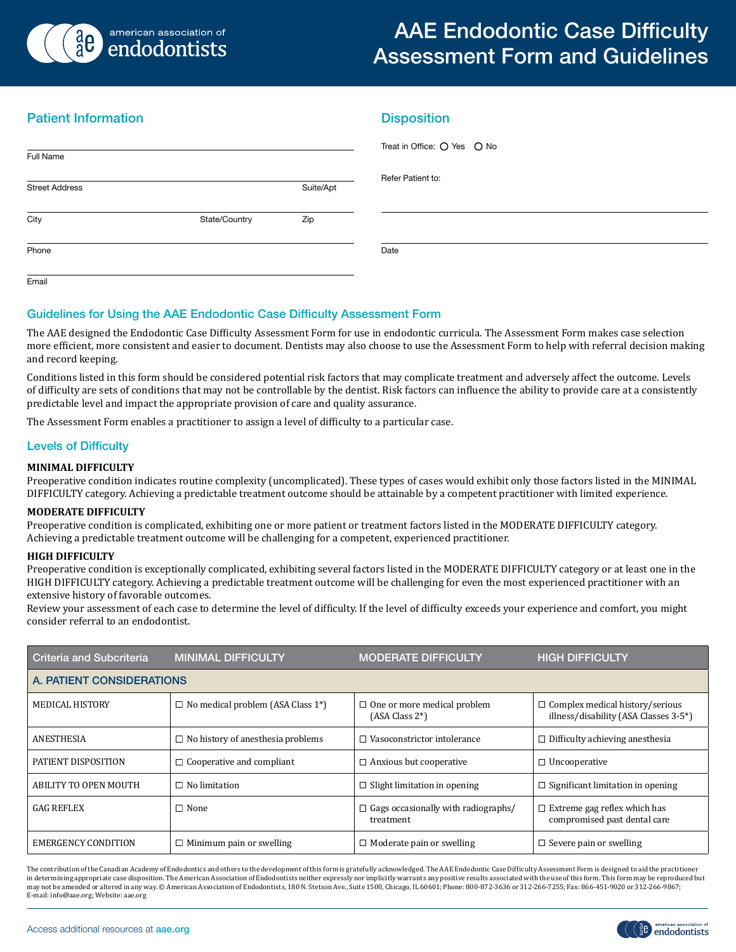

# AAE Endodontic Case Difficulty Assessment Form and Guidelines

## Patient Information

| Full Name             |               |           | Treat in Office: O Yes O No |
|-----------------------|---------------|-----------|-----------------------------|
| <b>Street Address</b> |               | Suite/Apt | Refer Patient to:           |
| City                  | State/Country | Zip       |                             |
| Phone                 |               |           | Date                        |
| Email                 |               |           |                             |

**Disposition** 

### Guidelines for Using the AAE Endodontic Case Difficulty Assessment Form

The AAE designed the Endodontic Case Difficulty Assessment Form for use in endodontic curricula. The Assessment Form makes case selection more efficient, more consistent and easier to document. Dentists may also choose to use the Assessment Form to help with referral decision making and record keeping.

Conditions listed in this form should be considered potential risk factors that may complicate treatment and adversely affect the outcome. Levels of difficulty are sets of conditions that may not be controllable by the dentist. Risk factors can influence the ability to provide care at a consistently predictable level and impact the appropriate provision of care and quality assurance.

The Assessment Form enables a practitioner to assign a level of difficulty to a particular case.

## Levels of Difficulty

#### **MINIMAL DIFFICULTY**

Preoperative condition indicates routine complexity (uncomplicated). These types of cases would exhibit only those factors listed in the MINIMAL DIFFICULTY category. Achieving a predictable treatment outcome should be attainable by a competent practitioner with limited experience.

#### **MODERATE DIFFICULTY**

Preoperative condition is complicated, exhibiting one or more patient or treatment factors listed in the MODERATE DIFFICULTY category. Achieving a predictable treatment outcome will be challenging for a competent, experienced practitioner.

#### **HIGH DIFFICULTY**

Preoperative condition is exceptionally complicated, exhibiting several factors listed in the MODERATE DIFFICULTY category or at least one in the HIGH DIFFICULTY category. Achieving a predictable treatment outcome will be challenging for even the most experienced practitioner with an extensive history of favorable outcomes.

Review your assessment of each case to determine the level of difficulty. If the level of difficulty exceeds your experience and comfort, you might consider referral to an endodontist.

| Criteria and Subcriteria  | <b>MINIMAL DIFFICULTY</b>                | <b>MODERATE DIFFICULTY</b>                              | <b>HIGH DIFFICULTY</b>                                                          |  |  |  |
|---------------------------|------------------------------------------|---------------------------------------------------------|---------------------------------------------------------------------------------|--|--|--|
| A. PATIENT CONSIDERATIONS |                                          |                                                         |                                                                                 |  |  |  |
| <b>MEDICAL HISTORY</b>    | $\Box$ No medical problem (ASA Class 1*) | $\Box$ One or more medical problem<br>$(ASA Class 2*)$  | $\Box$ Complex medical history/serious<br>illness/disability (ASA Classes 3-5*) |  |  |  |
| <b>ANESTHESIA</b>         | $\Box$ No history of anesthesia problems | $\Box$ Vasoconstrictor intolerance                      | Difficulty achieving anesthesia<br>□                                            |  |  |  |
| PATIENT DISPOSITION       | $\Box$ Cooperative and compliant         | $\Box$ Anxious but cooperative                          | $\Box$ Uncooperative                                                            |  |  |  |
| ABILITY TO OPEN MOUTH     | $\Box$ No limitation                     | $\Box$ Slight limitation in opening                     | $\Box$ Significant limitation in opening                                        |  |  |  |
| <b>GAG REFLEX</b>         | $\Box$ None                              | $\Box$ Gags occasionally with radiographs/<br>treatment | $\Box$ Extreme gag reflex which has<br>compromised past dental care             |  |  |  |
| EMERGENCY CONDITION       | Minimum pain or swelling                 | $\Box$ Moderate pain or swelling                        | $\Box$ Severe pain or swelling                                                  |  |  |  |

The contribution of the Canadian Academy of Endodontics and others to the development of this form is gratefully acknowledged. The AAE Endodontic Case Difficulty Assessment Form is designed to aid the practitioner in determining appropriate case disposition. The American Association of Endodontists neither expressly nor implicitly warrants any positive results associated with the use of this form. This form may be reproduced but may not be amended or altered in any way. © American Association of Endodontists, 180 N. Stetson Ave., Suite 1500, Chicago, IL 60601; Phone: 800-872-3636 or 312-266-7255; Fax: 866-451-9020 or 312-266-9867; E-mail: info@aae.org; Website: aae.org